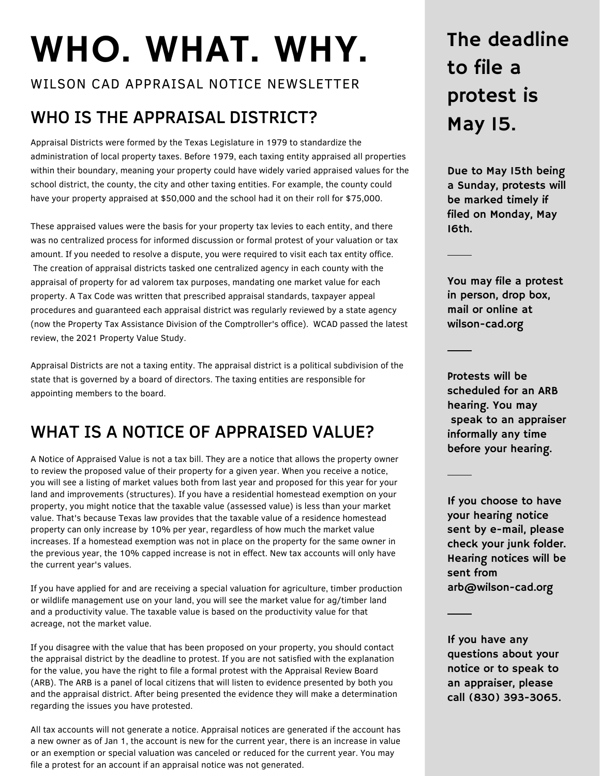# WHO. WHAT. WHY.

WILSON CAD APPRAISAL NOTICE NEWSLETTER

# WHO IS THE APPRAISAL DISTRICT?

Appraisal Districts were formed by the Texas Legislature in 1979 to standardize the administration of local property taxes. Before 1979, each taxing entity appraised all properties within their boundary, meaning your property could have widely varied appraised values for the school district, the county, the city and other taxing entities. For example, the county could have your property appraised at \$50,000 and the school had it on their roll for \$75,000.

These appraised values were the basis for your property tax levies to each entity, and there was no centralized process for informed discussion or formal protest of your valuation or tax amount. If you needed to resolve a dispute, you were required to visit each tax entity office. The creation of appraisal districts tasked one centralized agency in each county with the appraisal of property for ad valorem tax purposes, mandating one market value for each property. A Tax Code was written that prescribed appraisal standards, taxpayer appeal procedures and guaranteed each appraisal district was regularly reviewed by a state agency (now the Property Tax Assistance Division of the Comptroller's office). WCAD passed the latest review, the 2021 Property Value Study.

Appraisal Districts are not a taxing entity. The appraisal district is a political subdivision of the state that is governed by a board of directors. The taxing entities are responsible for appointing members to the board.

# WHAT IS A NOTICE OF APPRAISED VALUE?

A Notice of Appraised Value is not a tax bill. They are a notice that allows the property owner to review the proposed value of their property for a given year. When you receive a notice, you will see a listing of market values both from last year and proposed for this year for your land and improvements (structures). If you have a residential homestead exemption on your property, you might notice that the taxable value (assessed value) is less than your market value. That's because Texas law provides that the taxable value of a residence homestead property can only increase by 10% per year, regardless of how much the market value increases. If a homestead exemption was not in place on the property for the same owner in the previous year, the 10% capped increase is not in effect. New tax accounts will only have the current year's values.

If you have applied for and are receiving a special valuation for agriculture, timber production or wildlife management use on your land, you will see the market value for ag/timber land and a productivity value. The taxable value is based on the productivity value for that acreage, not the market value.

If you disagree with the value that has been proposed on your property, you should contact the appraisal district by the deadline to protest. If you are not satisfied with the explanation for the value, you have the right to file a formal protest with the Appraisal Review Board (ARB). The ARB is a panel of local citizens that will listen to evidence presented by both you and the appraisal district. After being presented the evidence they will make a determination regarding the issues you have protested.

All tax accounts will not generate a notice. Appraisal notices are generated if the account has a new owner as of Jan 1, the account is new for the current year, there is an increase in value or an exemption or special valuation was canceled or reduced for the current year. You may file a protest for an account if an appraisal notice was not generated.

# The deadline to file a protest is May 15.

Due to May 15th being a Sunday, protests will be marked timely if filed on Monday, May 16th.

You may file a protest in person, drop box, mail or online at wilson-cad.org

Protests will be scheduled for an ARB hearing. You may speak to an appraiser informally any time before your hearing.

If you choose to have your hearing notice sent by e-mail, please check your junk folder. Hearing notices will be sent from arb@wilson-cad.org

If you have any questions about your notice or to speak to an appraiser, please call (830) 393-3065.